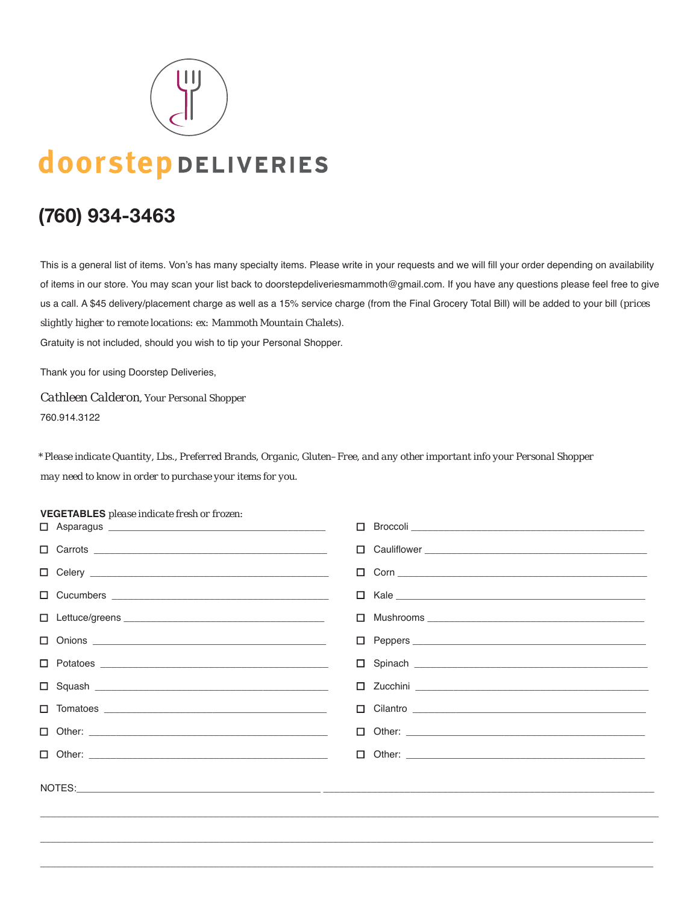

# doorstepDELIVERIES

# **(760) 934-3463**

This is a general list of items. Von's has many specialty items. Please write in your requests and we will fill your order depending on availability of items in our store. You may scan your list back to doorstepdeliveriesmammoth@gmail.com. If you have any questions please feel free to give us a call. A \$45 delivery/placement charge as well as a 15% service charge (from the Final Grocery Total Bill) will be added to your bill *(prices slightly higher to remote locations: ex: Mammoth Mountain Chalets)*.

Gratuity is not included, should you wish to tip your Personal Shopper.

Thank you for using Doorstep Deliveries,

*Cathleen Calderon, Your Personal Shopper* 760.914.3122

*\* Please indicate Quantity, Lbs., Preferred Brands, Organic, Gluten–Free, and any other important info your Personal Shopper may need to know in order to purchase your items for you.*

#### **VEGETABLES** *please indicate fresh or frozen:*

|  | $\Box$ Broccoli $\_\_\_\_\_\_\_\_\_$                                                                    |
|--|---------------------------------------------------------------------------------------------------------|
|  |                                                                                                         |
|  | $\boxed{\phantom{a}\Box\phantom{a}} \quad \text{Com}\quad \quad \underline{\phantom{a}\Box\phantom{a}}$ |
|  |                                                                                                         |
|  |                                                                                                         |
|  |                                                                                                         |
|  |                                                                                                         |
|  | $\boxed{\phantom{a}\Box\phantom{a}} \hspace{0.1cm} \text{Zucchini}\phantom{a}}$                         |
|  | $\Box$ Cilantro $\Box$                                                                                  |
|  |                                                                                                         |
|  |                                                                                                         |
|  |                                                                                                         |

\_\_\_\_\_\_\_\_\_\_\_\_\_\_\_\_\_\_\_\_\_\_\_\_\_\_\_\_\_\_\_\_\_\_\_\_\_\_\_\_\_\_\_\_\_\_\_\_\_\_\_\_\_\_\_\_\_\_\_\_\_\_\_\_\_\_\_\_\_\_\_\_\_\_\_\_\_\_\_\_\_\_\_\_\_\_\_\_\_\_\_\_\_\_\_\_\_\_\_\_\_\_\_\_\_\_\_\_\_\_\_\_\_\_

\_\_\_\_\_\_\_\_\_\_\_\_\_\_\_\_\_\_\_\_\_\_\_\_\_\_\_\_\_\_\_\_\_\_\_\_\_\_\_\_\_\_\_\_\_\_\_\_\_\_\_\_\_\_\_\_\_\_\_\_\_\_\_\_\_\_\_\_\_\_\_\_\_\_\_\_\_\_\_\_\_\_\_\_\_\_\_\_\_\_\_\_\_\_\_\_\_\_\_\_\_\_\_\_\_\_\_\_\_\_\_\_\_

\_\_\_\_\_\_\_\_\_\_\_\_\_\_\_\_\_\_\_\_\_\_\_\_\_\_\_\_\_\_\_\_\_\_\_\_\_\_\_\_\_\_\_\_\_\_\_\_\_\_\_\_\_\_\_\_\_\_\_\_\_\_\_\_\_\_\_\_\_\_\_\_\_\_\_\_\_\_\_\_\_\_\_\_\_\_\_\_\_\_\_\_\_\_\_\_\_\_\_\_\_\_\_\_\_\_\_\_\_\_\_\_\_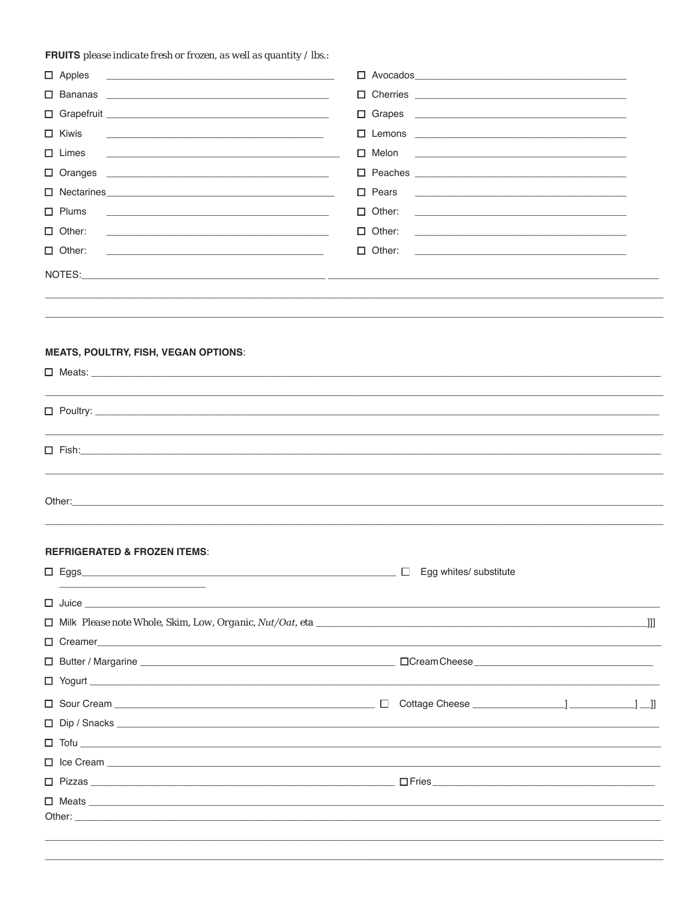FRUITS please indicate fresh or frozen, as well as quantity / lbs.:

| $\Box$ Apples<br><u> 1989 - Johann John Stone, market fan it ferskearre fan it ferskearre fan it ferskearre fan it ferskearre fan i</u>                                                                                        | $\Box$ Avocados $\Box$                                                                                                               |  |
|--------------------------------------------------------------------------------------------------------------------------------------------------------------------------------------------------------------------------------|--------------------------------------------------------------------------------------------------------------------------------------|--|
|                                                                                                                                                                                                                                |                                                                                                                                      |  |
|                                                                                                                                                                                                                                |                                                                                                                                      |  |
| $\Box$ Kiwis<br><u> 1989 - Johann Stein, marwolaethau a bhann an t-Amhainn an t-Amhainn an t-Amhainn an t-Amhainn an t-Amhainn an</u>                                                                                          | $\Box$ Lemons $\Box$                                                                                                                 |  |
| $\Box$ Limes                                                                                                                                                                                                                   | $\Box$ Melon<br><u> 2000 - 2000 - 2000 - 2000 - 2000 - 2000 - 2000 - 2000 - 2000 - 2000 - 2000 - 2000 - 2000 - 2000 - 2000 - 200</u> |  |
| $\Box$ Oranges<br><u> 1990 - Jan Alexandri, filozof amerikan bizi da shekara 1991 - Andrew Maria a shekara 1991 - Andrew Maria a S</u>                                                                                         | $\Box$ Peaches $\Box$                                                                                                                |  |
|                                                                                                                                                                                                                                | $\Box$ Pears<br><u> 1989 - Andrea Stein, Amerikaansk politiker (</u>                                                                 |  |
| $\Box$ Plums<br><u> 1989 - Johann John Stein, markin fan it ferstjer fan de ferstjer fan it ferstjer fan it ferstjer fan it fers</u>                                                                                           | $\Box$ Other:                                                                                                                        |  |
| $\Box$ Other:                                                                                                                                                                                                                  | $\Box$ Other:<br><u> 1989 - Johann John Harry, margaret eta idazlea (h. 1989).</u>                                                   |  |
| $\Box$ Other:<br><u> 1980 - Johann Stein, marwolaethau a bhann an t-Amhain an t-Amhain an t-Amhain an t-Amhain an t-Amhain an t-A</u>                                                                                          | $\Box$ Other:<br><u> 1989 - Andrea Stadt Britain, amerikansk politiker (</u>                                                         |  |
|                                                                                                                                                                                                                                |                                                                                                                                      |  |
|                                                                                                                                                                                                                                |                                                                                                                                      |  |
|                                                                                                                                                                                                                                |                                                                                                                                      |  |
|                                                                                                                                                                                                                                |                                                                                                                                      |  |
| <b>MEATS, POULTRY, FISH, VEGAN OPTIONS:</b>                                                                                                                                                                                    |                                                                                                                                      |  |
| $\Box$ Meats: $\Box$                                                                                                                                                                                                           |                                                                                                                                      |  |
|                                                                                                                                                                                                                                |                                                                                                                                      |  |
|                                                                                                                                                                                                                                |                                                                                                                                      |  |
|                                                                                                                                                                                                                                |                                                                                                                                      |  |
| $\Box$ Fish: $\Box$                                                                                                                                                                                                            |                                                                                                                                      |  |
|                                                                                                                                                                                                                                |                                                                                                                                      |  |
| Other: the contract of the contract of the contract of the contract of the contract of the contract of the contract of the contract of the contract of the contract of the contract of the contract of the contract of the con |                                                                                                                                      |  |
|                                                                                                                                                                                                                                |                                                                                                                                      |  |
|                                                                                                                                                                                                                                |                                                                                                                                      |  |
| <b>REFRIGERATED &amp; FROZEN ITEMS:</b>                                                                                                                                                                                        |                                                                                                                                      |  |
| $\square$ Eggs                                                                                                                                                                                                                 | $\Box$<br>Egg whites/ substitute                                                                                                     |  |
|                                                                                                                                                                                                                                |                                                                                                                                      |  |
|                                                                                                                                                                                                                                |                                                                                                                                      |  |
|                                                                                                                                                                                                                                |                                                                                                                                      |  |
|                                                                                                                                                                                                                                |                                                                                                                                      |  |
| $\Box$ Yogurt $\Box$                                                                                                                                                                                                           |                                                                                                                                      |  |
|                                                                                                                                                                                                                                |                                                                                                                                      |  |
|                                                                                                                                                                                                                                |                                                                                                                                      |  |
|                                                                                                                                                                                                                                |                                                                                                                                      |  |
|                                                                                                                                                                                                                                |                                                                                                                                      |  |
|                                                                                                                                                                                                                                |                                                                                                                                      |  |
|                                                                                                                                                                                                                                |                                                                                                                                      |  |
|                                                                                                                                                                                                                                |                                                                                                                                      |  |
|                                                                                                                                                                                                                                |                                                                                                                                      |  |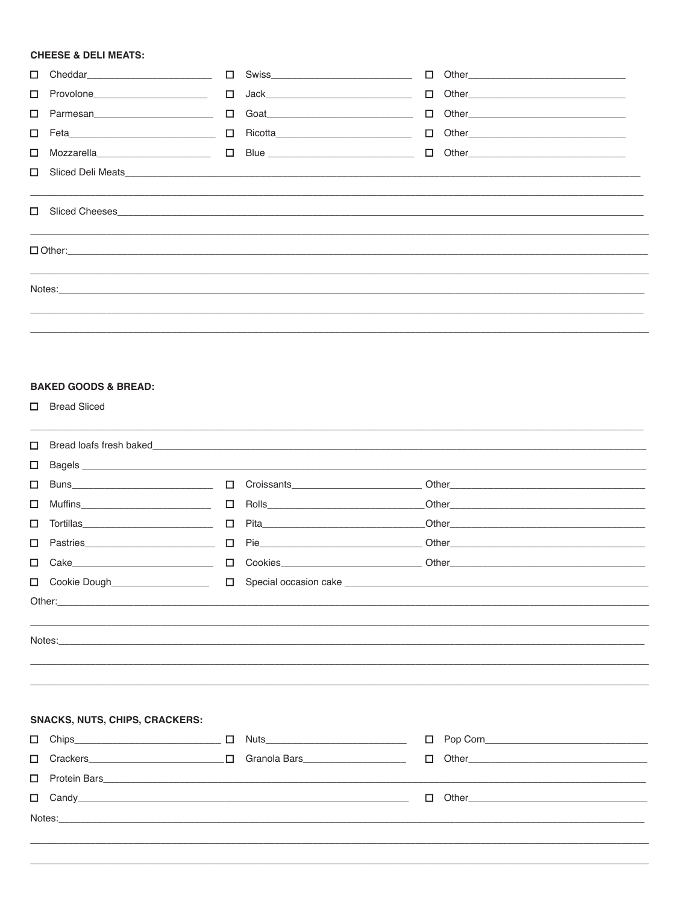#### **CHEESE & DELI MEATS:**

|                                    |        | □ Swiss_____________________________                                                                                                                                                                            |                                                                                                                                                                                                                                |
|------------------------------------|--------|-----------------------------------------------------------------------------------------------------------------------------------------------------------------------------------------------------------------|--------------------------------------------------------------------------------------------------------------------------------------------------------------------------------------------------------------------------------|
| □ Provolone_______________________ |        | $\begin{tabular}{ c c c c } \hline \quad & Jack & \quad \quad & \quad \quad & \quad \quad & \quad \quad \\ \hline \quad & Jack & \quad \quad & \quad \quad & \quad \quad & \quad \quad \\ \hline \end{tabular}$ |                                                                                                                                                                                                                                |
|                                    | $\Box$ | Goat 2008                                                                                                                                                                                                       |                                                                                                                                                                                                                                |
|                                    |        | □ Feta __________________________________ □ Ricotta_____________________________                                                                                                                                |                                                                                                                                                                                                                                |
|                                    |        |                                                                                                                                                                                                                 |                                                                                                                                                                                                                                |
|                                    |        |                                                                                                                                                                                                                 | □ Sliced Deli Meats                                                                                                                                                                                                            |
|                                    |        |                                                                                                                                                                                                                 |                                                                                                                                                                                                                                |
|                                    |        |                                                                                                                                                                                                                 | Notes: Notes: Notes: Notes: Notes: Notes: Notes: Notes: Notes: Notes: Notes: Notes: Notes: Notes: Notes: Notes: Notes: Notes: Notes: Notes: Notes: Notes: Notes: Notes: Notes: Notes: Notes: Notes: Notes: Notes: Notes: Notes |
|                                    |        |                                                                                                                                                                                                                 |                                                                                                                                                                                                                                |
|                                    |        |                                                                                                                                                                                                                 |                                                                                                                                                                                                                                |

## **BAKED GOODS & BREAD:**

□ Bread Sliced

| $\Box$ |                                                                                                                                                                                                                                |        |                              |        |  |
|--------|--------------------------------------------------------------------------------------------------------------------------------------------------------------------------------------------------------------------------------|--------|------------------------------|--------|--|
| □      |                                                                                                                                                                                                                                |        |                              |        |  |
| □      |                                                                                                                                                                                                                                |        | Croissants <b>Croissants</b> |        |  |
| □      |                                                                                                                                                                                                                                | $\Box$ |                              |        |  |
| □      |                                                                                                                                                                                                                                | □      |                              |        |  |
| □      |                                                                                                                                                                                                                                | $\Box$ |                              |        |  |
| $\Box$ |                                                                                                                                                                                                                                | $\Box$ |                              |        |  |
| $\Box$ | Cookie Dough____________________                                                                                                                                                                                               | $\Box$ |                              |        |  |
|        |                                                                                                                                                                                                                                |        |                              |        |  |
|        |                                                                                                                                                                                                                                |        |                              |        |  |
|        | Notes: Notes: Notes: Notes: Notes: Notes: Notes: Notes: Notes: Notes: Notes: Notes: Notes: Notes: Notes: Notes: Notes: Notes: Notes: Notes: Notes: Notes: Notes: Notes: Notes: Notes: Notes: Notes: Notes: Notes: Notes: Notes |        |                              |        |  |
|        |                                                                                                                                                                                                                                |        |                              |        |  |
|        |                                                                                                                                                                                                                                |        |                              |        |  |
|        |                                                                                                                                                                                                                                |        |                              |        |  |
|        | <b>SNACKS, NUTS, CHIPS, CRACKERS:</b>                                                                                                                                                                                          |        |                              |        |  |
|        | $Chips$ $\Box$                                                                                                                                                                                                                 |        |                              | $\Box$ |  |
| $\Box$ |                                                                                                                                                                                                                                |        |                              |        |  |
| □      |                                                                                                                                                                                                                                |        |                              |        |  |
| $\Box$ |                                                                                                                                                                                                                                |        |                              | □      |  |
|        | Notes: Notes: All the contract of the contract of the contract of the contract of the contract of the contract of the contract of the contract of the contract of the contract of the contract of the contract of the contract |        |                              |        |  |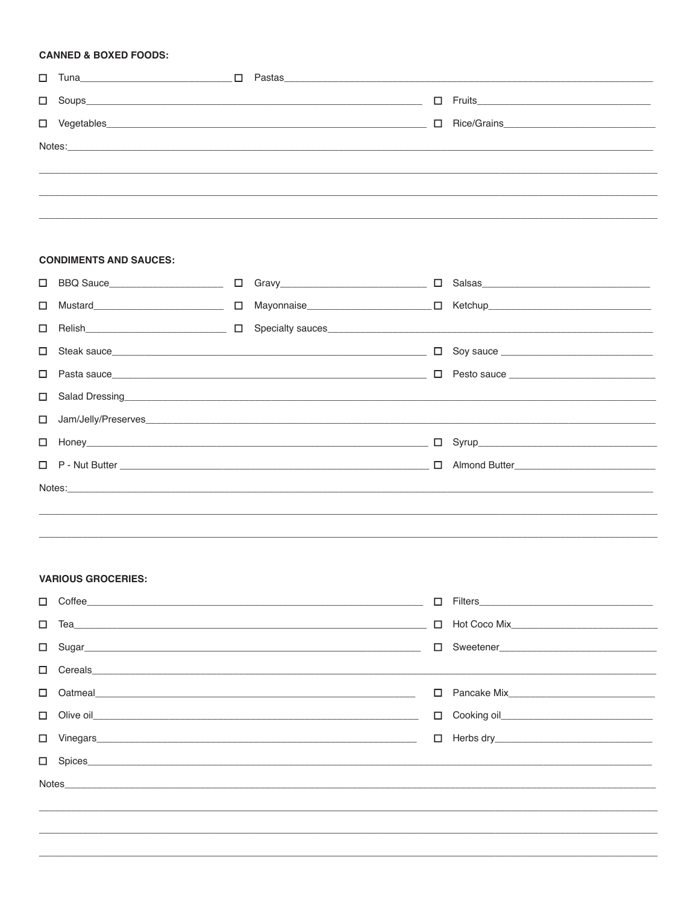#### **CANNED & BOXED FOODS:**

| Notes: 2008 - 2008 - 2008 - 2009 - 2009 - 2009 - 2009 - 2009 - 2009 - 2009 - 2009 - 2009 - 2009 - 2009 - 2009 - 2009 - 2009 - 2009 - 2009 - 2009 - 2009 - 2009 - 2009 - 2009 - 2009 - 2009 - 2009 - 2009 - 2009 - 2009 - 2009 |  |
|-------------------------------------------------------------------------------------------------------------------------------------------------------------------------------------------------------------------------------|--|
|                                                                                                                                                                                                                               |  |
|                                                                                                                                                                                                                               |  |
|                                                                                                                                                                                                                               |  |

#### **CONDIMENTS AND SAUCES:**

| BBQ Sauce__________________________<br>$\Box$ |  |                                                                                                                                                                                                                                |                                                                                                                                                                                                                                                                                                          |
|-----------------------------------------------|--|--------------------------------------------------------------------------------------------------------------------------------------------------------------------------------------------------------------------------------|----------------------------------------------------------------------------------------------------------------------------------------------------------------------------------------------------------------------------------------------------------------------------------------------------------|
|                                               |  |                                                                                                                                                                                                                                |                                                                                                                                                                                                                                                                                                          |
| $\Box$                                        |  |                                                                                                                                                                                                                                |                                                                                                                                                                                                                                                                                                          |
| П.                                            |  |                                                                                                                                                                                                                                |                                                                                                                                                                                                                                                                                                          |
| $\Box$                                        |  |                                                                                                                                                                                                                                |                                                                                                                                                                                                                                                                                                          |
| $\Box$                                        |  |                                                                                                                                                                                                                                |                                                                                                                                                                                                                                                                                                          |
|                                               |  |                                                                                                                                                                                                                                |                                                                                                                                                                                                                                                                                                          |
|                                               |  |                                                                                                                                                                                                                                |                                                                                                                                                                                                                                                                                                          |
|                                               |  |                                                                                                                                                                                                                                |                                                                                                                                                                                                                                                                                                          |
|                                               |  |                                                                                                                                                                                                                                |                                                                                                                                                                                                                                                                                                          |
|                                               |  |                                                                                                                                                                                                                                |                                                                                                                                                                                                                                                                                                          |
|                                               |  | Notes: Notes: Notes: Notes: Notes: Notes: Notes: Notes: Notes: Notes: Notes: Notes: Notes: Notes: Notes: Notes: Notes: Notes: Notes: Notes: Notes: Notes: Notes: Notes: Notes: Notes: Notes: Notes: Notes: Notes: Notes: Notes | □ Gravy________________________________<br>Salad Dressing <u>Contains and Community and Community and Community and Community and Community and Community and Community and Community and Community and Community and Community and Community and Community and Community a</u><br>I Jam/Jelly/Preserves |

#### **VARIOUS GROCERIES:**

| $\Box$ |               | $\Box$ |  |
|--------|---------------|--------|--|
| $\Box$ |               |        |  |
|        |               |        |  |
|        |               |        |  |
| П.     |               |        |  |
|        |               |        |  |
|        |               |        |  |
|        | $\Box$ Spices |        |  |
|        |               |        |  |
|        |               |        |  |
|        |               |        |  |
|        |               |        |  |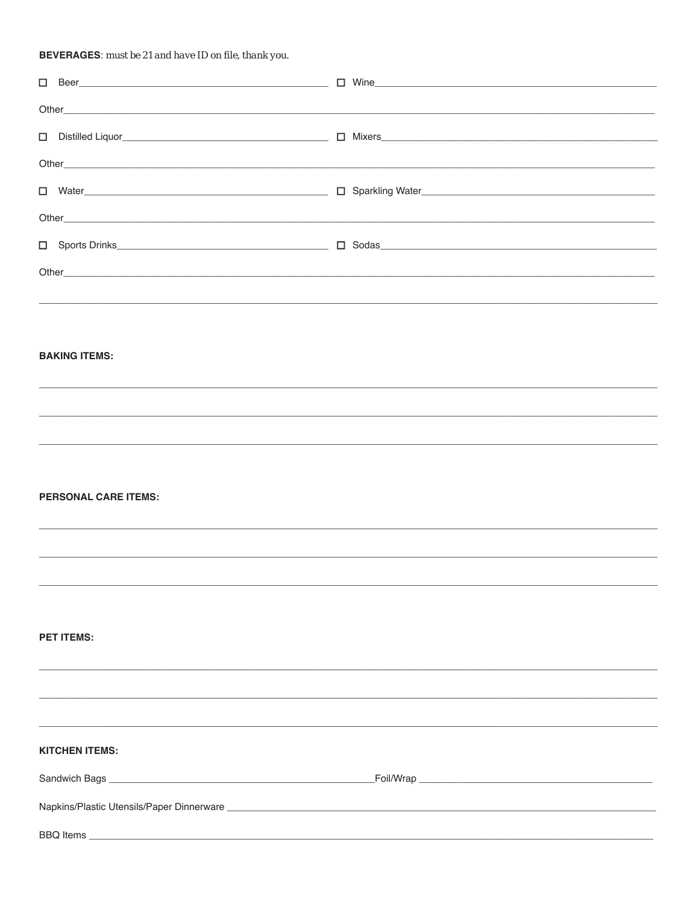## **BEVERAGES:** must be 21 and have ID on file, thank you.

|                             | Other experiments and the contract of the contract of the contract of the contract of the contract of the contract of the contract of the contract of the contract of the contract of the contract of the contract of the cont |
|-----------------------------|--------------------------------------------------------------------------------------------------------------------------------------------------------------------------------------------------------------------------------|
|                             | □ Water Nater Nater National Account Control Disposition Disposition Disposition Disposition Disposition Disposition Disposition Disposition Disposition Disposition Disposition Disposition Disposition Disposition Disposi   |
|                             |                                                                                                                                                                                                                                |
|                             |                                                                                                                                                                                                                                |
|                             |                                                                                                                                                                                                                                |
|                             |                                                                                                                                                                                                                                |
|                             |                                                                                                                                                                                                                                |
| <b>BAKING ITEMS:</b>        |                                                                                                                                                                                                                                |
|                             |                                                                                                                                                                                                                                |
|                             |                                                                                                                                                                                                                                |
|                             |                                                                                                                                                                                                                                |
|                             |                                                                                                                                                                                                                                |
| <b>PERSONAL CARE ITEMS:</b> |                                                                                                                                                                                                                                |
|                             |                                                                                                                                                                                                                                |
|                             |                                                                                                                                                                                                                                |
|                             |                                                                                                                                                                                                                                |
|                             |                                                                                                                                                                                                                                |
| <b>PET ITEMS:</b>           |                                                                                                                                                                                                                                |
|                             |                                                                                                                                                                                                                                |
|                             |                                                                                                                                                                                                                                |
|                             |                                                                                                                                                                                                                                |
| <b>KITCHEN ITEMS:</b>       |                                                                                                                                                                                                                                |
|                             |                                                                                                                                                                                                                                |
|                             |                                                                                                                                                                                                                                |
|                             |                                                                                                                                                                                                                                |
|                             |                                                                                                                                                                                                                                |